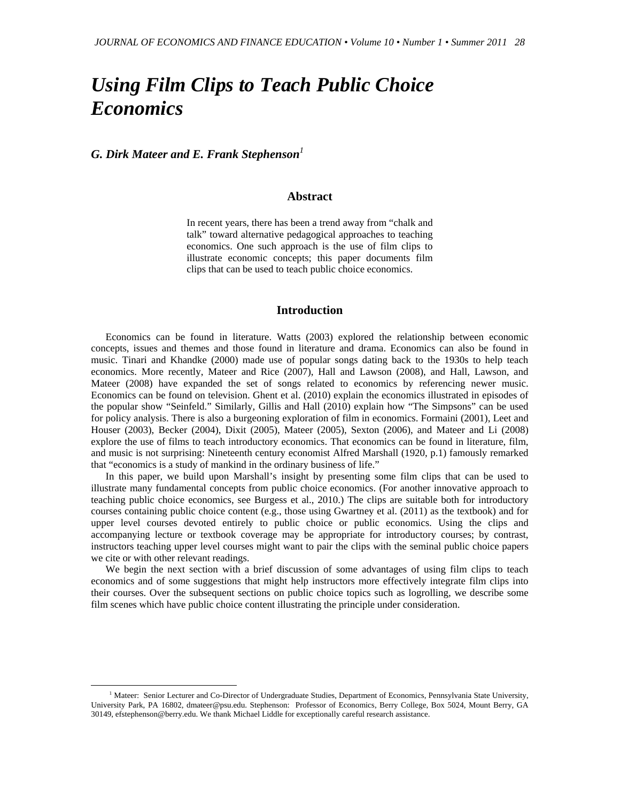# *Using Film Clips to Teach Public Choice Economics*

*G. Dirk Mateer and E. Frank Stephenson<sup>1</sup>*

## **Abstract**

In recent years, there has been a trend away from "chalk and talk" toward alternative pedagogical approaches to teaching economics. One such approach is the use of film clips to illustrate economic concepts; this paper documents film clips that can be used to teach public choice economics.

#### **Introduction**

Economics can be found in literature. Watts (2003) explored the relationship between economic concepts, issues and themes and those found in literature and drama. Economics can also be found in music. Tinari and Khandke (2000) made use of popular songs dating back to the 1930s to help teach economics. More recently, Mateer and Rice (2007), Hall and Lawson (2008), and Hall, Lawson, and Mateer (2008) have expanded the set of songs related to economics by referencing newer music. Economics can be found on television. Ghent et al. (2010) explain the economics illustrated in episodes of the popular show "Seinfeld." Similarly, Gillis and Hall (2010) explain how "The Simpsons" can be used for policy analysis. There is also a burgeoning exploration of film in economics. Formaini (2001), Leet and Houser (2003), Becker (2004), Dixit (2005), Mateer (2005), Sexton (2006), and Mateer and Li (2008) explore the use of films to teach introductory economics. That economics can be found in literature, film, and music is not surprising: Nineteenth century economist Alfred Marshall (1920, p.1) famously remarked that "economics is a study of mankind in the ordinary business of life."

In this paper, we build upon Marshall's insight by presenting some film clips that can be used to illustrate many fundamental concepts from public choice economics. (For another innovative approach to teaching public choice economics, see Burgess et al., 2010.) The clips are suitable both for introductory courses containing public choice content (e.g., those using Gwartney et al. (2011) as the textbook) and for upper level courses devoted entirely to public choice or public economics. Using the clips and accompanying lecture or textbook coverage may be appropriate for introductory courses; by contrast, instructors teaching upper level courses might want to pair the clips with the seminal public choice papers we cite or with other relevant readings.

We begin the next section with a brief discussion of some advantages of using film clips to teach economics and of some suggestions that might help instructors more effectively integrate film clips into their courses. Over the subsequent sections on public choice topics such as logrolling, we describe some film scenes which have public choice content illustrating the principle under consideration.

<sup>1&</sup>lt;sup>1</sup> <sup>1</sup> Mateer: Senior Lecturer and Co-Director of Undergraduate Studies, Department of Economics, Pennsylvania State University, University Park, PA 16802, dmateer@psu.edu. Stephenson: Professor of Economics, Berry College, Box 5024, Mount Berry, GA 30149, efstephenson@berry.edu. We thank Michael Liddle for exceptionally careful research assistance.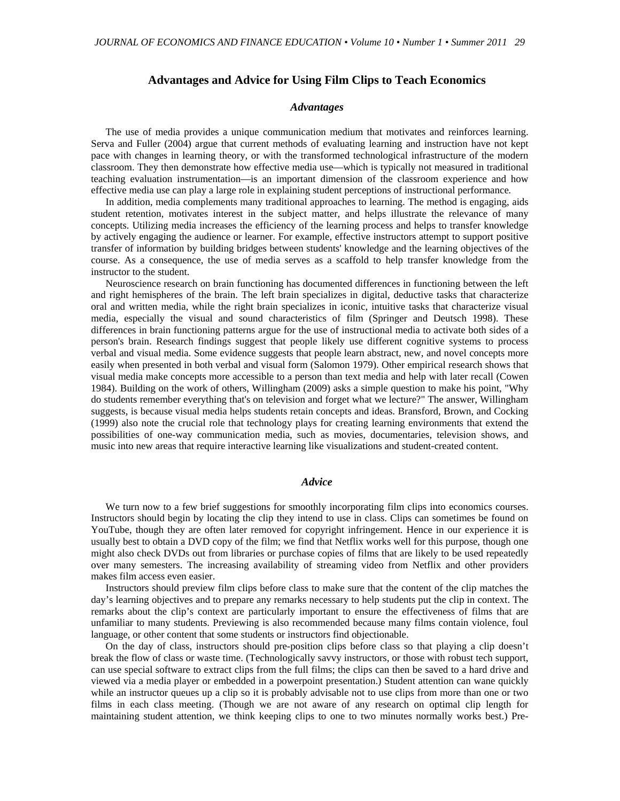# **Advantages and Advice for Using Film Clips to Teach Economics**

#### *Advantages*

The use of media provides a unique communication medium that motivates and reinforces learning. Serva and Fuller (2004) argue that current methods of evaluating learning and instruction have not kept pace with changes in learning theory, or with the transformed technological infrastructure of the modern classroom. They then demonstrate how effective media use—which is typically not measured in traditional teaching evaluation instrumentation—is an important dimension of the classroom experience and how effective media use can play a large role in explaining student perceptions of instructional performance*.*

In addition, media complements many traditional approaches to learning. The method is engaging, aids student retention, motivates interest in the subject matter, and helps illustrate the relevance of many concepts. Utilizing media increases the efficiency of the learning process and helps to transfer knowledge by actively engaging the audience or learner. For example, effective instructors attempt to support positive transfer of information by building bridges between students' knowledge and the learning objectives of the course. As a consequence, the use of media serves as a scaffold to help transfer knowledge from the instructor to the student.

Neuroscience research on brain functioning has documented differences in functioning between the left and right hemispheres of the brain. The left brain specializes in digital, deductive tasks that characterize oral and written media, while the right brain specializes in iconic, intuitive tasks that characterize visual media, especially the visual and sound characteristics of film (Springer and Deutsch 1998). These differences in brain functioning patterns argue for the use of instructional media to activate both sides of a person's brain. Research findings suggest that people likely use different cognitive systems to process verbal and visual media. Some evidence suggests that people learn abstract, new, and novel concepts more easily when presented in both verbal and visual form (Salomon 1979). Other empirical research shows that visual media make concepts more accessible to a person than text media and help with later recall (Cowen 1984). Building on the work of others, Willingham (2009) asks a simple question to make his point, "Why do students remember everything that's on television and forget what we lecture?" The answer, Willingham suggests, is because visual media helps students retain concepts and ideas. Bransford, Brown, and Cocking (1999) also note the crucial role that technology plays for creating learning environments that extend the possibilities of one-way communication media, such as movies, documentaries, television shows, and music into new areas that require interactive learning like visualizations and student-created content.

#### *Advice*

We turn now to a few brief suggestions for smoothly incorporating film clips into economics courses. Instructors should begin by locating the clip they intend to use in class. Clips can sometimes be found on YouTube, though they are often later removed for copyright infringement. Hence in our experience it is usually best to obtain a DVD copy of the film; we find that Netflix works well for this purpose, though one might also check DVDs out from libraries or purchase copies of films that are likely to be used repeatedly over many semesters. The increasing availability of streaming video from Netflix and other providers makes film access even easier.

Instructors should preview film clips before class to make sure that the content of the clip matches the day's learning objectives and to prepare any remarks necessary to help students put the clip in context. The remarks about the clip's context are particularly important to ensure the effectiveness of films that are unfamiliar to many students. Previewing is also recommended because many films contain violence, foul language, or other content that some students or instructors find objectionable.

On the day of class, instructors should pre-position clips before class so that playing a clip doesn't break the flow of class or waste time. (Technologically savvy instructors, or those with robust tech support, can use special software to extract clips from the full films; the clips can then be saved to a hard drive and viewed via a media player or embedded in a powerpoint presentation.) Student attention can wane quickly while an instructor queues up a clip so it is probably advisable not to use clips from more than one or two films in each class meeting. (Though we are not aware of any research on optimal clip length for maintaining student attention, we think keeping clips to one to two minutes normally works best.) Pre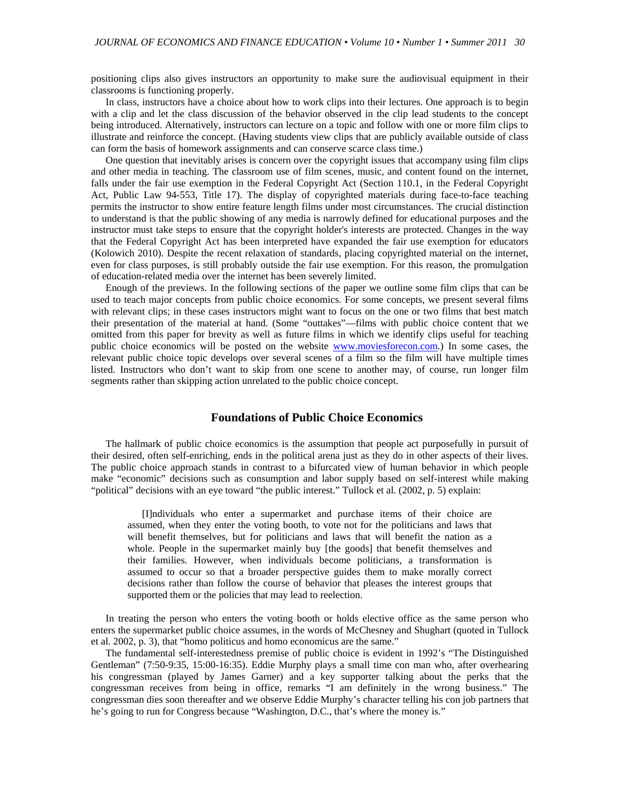positioning clips also gives instructors an opportunity to make sure the audiovisual equipment in their classrooms is functioning properly.

In class, instructors have a choice about how to work clips into their lectures. One approach is to begin with a clip and let the class discussion of the behavior observed in the clip lead students to the concept being introduced. Alternatively, instructors can lecture on a topic and follow with one or more film clips to illustrate and reinforce the concept. (Having students view clips that are publicly available outside of class can form the basis of homework assignments and can conserve scarce class time.)

One question that inevitably arises is concern over the copyright issues that accompany using film clips and other media in teaching. The classroom use of film scenes, music, and content found on the internet, falls under the fair use exemption in the Federal Copyright Act (Section 110.1, in the Federal Copyright Act, Public Law 94-553, Title 17). The display of copyrighted materials during face-to-face teaching permits the instructor to show entire feature length films under most circumstances. The crucial distinction to understand is that the public showing of any media is narrowly defined for educational purposes and the instructor must take steps to ensure that the copyright holder's interests are protected. Changes in the way that the Federal Copyright Act has been interpreted have expanded the fair use exemption for educators (Kolowich 2010). Despite the recent relaxation of standards, placing copyrighted material on the internet, even for class purposes, is still probably outside the fair use exemption. For this reason, the promulgation of education-related media over the internet has been severely limited.

Enough of the previews. In the following sections of the paper we outline some film clips that can be used to teach major concepts from public choice economics. For some concepts, we present several films with relevant clips; in these cases instructors might want to focus on the one or two films that best match their presentation of the material at hand. (Some "outtakes"—films with public choice content that we omitted from this paper for brevity as well as future films in which we identify clips useful for teaching public choice economics will be posted on the website www.moviesforecon.com.) In some cases, the relevant public choice topic develops over several scenes of a film so the film will have multiple times listed. Instructors who don't want to skip from one scene to another may, of course, run longer film segments rather than skipping action unrelated to the public choice concept.

# **Foundations of Public Choice Economics**

The hallmark of public choice economics is the assumption that people act purposefully in pursuit of their desired, often self-enriching, ends in the political arena just as they do in other aspects of their lives. The public choice approach stands in contrast to a bifurcated view of human behavior in which people make "economic" decisions such as consumption and labor supply based on self-interest while making "political" decisions with an eye toward "the public interest." Tullock et al. (2002, p. 5) explain:

[I]ndividuals who enter a supermarket and purchase items of their choice are assumed, when they enter the voting booth, to vote not for the politicians and laws that will benefit themselves, but for politicians and laws that will benefit the nation as a whole. People in the supermarket mainly buy [the goods] that benefit themselves and their families. However, when individuals become politicians, a transformation is assumed to occur so that a broader perspective guides them to make morally correct decisions rather than follow the course of behavior that pleases the interest groups that supported them or the policies that may lead to reelection.

In treating the person who enters the voting booth or holds elective office as the same person who enters the supermarket public choice assumes, in the words of McChesney and Shughart (quoted in Tullock et al. 2002, p. 3), that "homo politicus and homo economicus are the same."

The fundamental self-interestedness premise of public choice is evident in 1992's "The Distinguished Gentleman" (7:50-9:35, 15:00-16:35). Eddie Murphy plays a small time con man who, after overhearing his congressman (played by James Garner) and a key supporter talking about the perks that the congressman receives from being in office, remarks "I am definitely in the wrong business." The congressman dies soon thereafter and we observe Eddie Murphy's character telling his con job partners that he's going to run for Congress because "Washington, D.C., that's where the money is."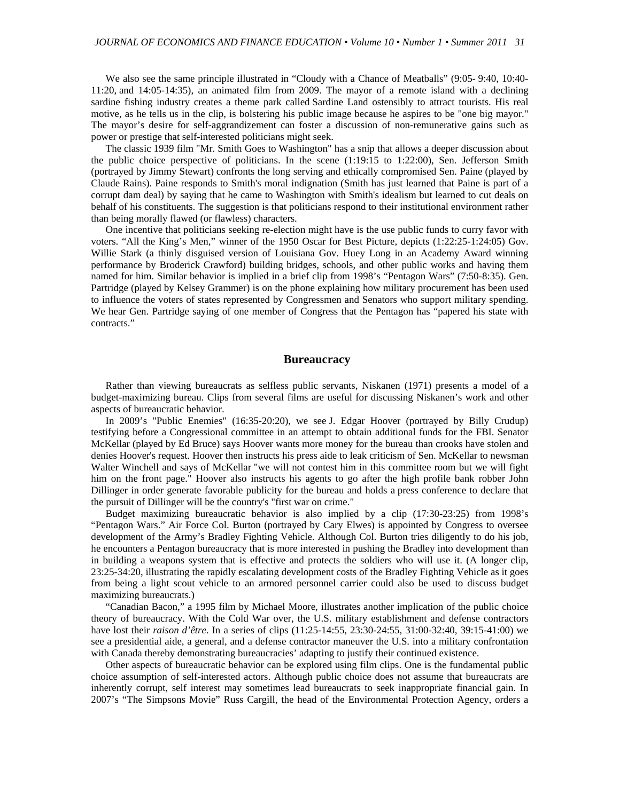We also see the same principle illustrated in "Cloudy with a Chance of Meatballs" (9:05- 9:40, 10:40- 11:20, and 14:05-14:35), an animated film from 2009. The mayor of a remote island with a declining sardine fishing industry creates a theme park called Sardine Land ostensibly to attract tourists. His real motive, as he tells us in the clip, is bolstering his public image because he aspires to be "one big mayor." The mayor's desire for self-aggrandizement can foster a discussion of non-remunerative gains such as power or prestige that self-interested politicians might seek.

The classic 1939 film "Mr. Smith Goes to Washington" has a snip that allows a deeper discussion about the public choice perspective of politicians. In the scene (1:19:15 to 1:22:00), Sen. Jefferson Smith (portrayed by Jimmy Stewart) confronts the long serving and ethically compromised Sen. Paine (played by Claude Rains). Paine responds to Smith's moral indignation (Smith has just learned that Paine is part of a corrupt dam deal) by saying that he came to Washington with Smith's idealism but learned to cut deals on behalf of his constituents. The suggestion is that politicians respond to their institutional environment rather than being morally flawed (or flawless) characters.

One incentive that politicians seeking re-election might have is the use public funds to curry favor with voters. "All the King's Men," winner of the 1950 Oscar for Best Picture, depicts (1:22:25-1:24:05) Gov. Willie Stark (a thinly disguised version of Louisiana Gov. Huey Long in an Academy Award winning performance by Broderick Crawford) building bridges, schools, and other public works and having them named for him. Similar behavior is implied in a brief clip from 1998's "Pentagon Wars" (7:50-8:35). Gen. Partridge (played by Kelsey Grammer) is on the phone explaining how military procurement has been used to influence the voters of states represented by Congressmen and Senators who support military spending. We hear Gen. Partridge saying of one member of Congress that the Pentagon has "papered his state with contracts."

#### **Bureaucracy**

Rather than viewing bureaucrats as selfless public servants, Niskanen (1971) presents a model of a budget-maximizing bureau. Clips from several films are useful for discussing Niskanen's work and other aspects of bureaucratic behavior.

In 2009's "Public Enemies" (16:35-20:20), we see J. Edgar Hoover (portrayed by Billy Crudup) testifying before a Congressional committee in an attempt to obtain additional funds for the FBI. Senator McKellar (played by Ed Bruce) says Hoover wants more money for the bureau than crooks have stolen and denies Hoover's request. Hoover then instructs his press aide to leak criticism of Sen. McKellar to newsman Walter Winchell and says of McKellar "we will not contest him in this committee room but we will fight him on the front page." Hoover also instructs his agents to go after the high profile bank robber John Dillinger in order generate favorable publicity for the bureau and holds a press conference to declare that the pursuit of Dillinger will be the country's "first war on crime."

Budget maximizing bureaucratic behavior is also implied by a clip (17:30-23:25) from 1998's "Pentagon Wars." Air Force Col. Burton (portrayed by Cary Elwes) is appointed by Congress to oversee development of the Army's Bradley Fighting Vehicle. Although Col. Burton tries diligently to do his job, he encounters a Pentagon bureaucracy that is more interested in pushing the Bradley into development than in building a weapons system that is effective and protects the soldiers who will use it. (A longer clip, 23:25-34:20, illustrating the rapidly escalating development costs of the Bradley Fighting Vehicle as it goes from being a light scout vehicle to an armored personnel carrier could also be used to discuss budget maximizing bureaucrats.)

"Canadian Bacon," a 1995 film by Michael Moore, illustrates another implication of the public choice theory of bureaucracy. With the Cold War over, the U.S. military establishment and defense contractors have lost their *raison d'être*. In a series of clips (11:25-14:55, 23:30-24:55, 31:00-32:40, 39:15-41:00) we see a presidential aide, a general, and a defense contractor maneuver the U.S. into a military confrontation with Canada thereby demonstrating bureaucracies' adapting to justify their continued existence.

Other aspects of bureaucratic behavior can be explored using film clips. One is the fundamental public choice assumption of self-interested actors. Although public choice does not assume that bureaucrats are inherently corrupt, self interest may sometimes lead bureaucrats to seek inappropriate financial gain. In 2007's "The Simpsons Movie" Russ Cargill, the head of the Environmental Protection Agency, orders a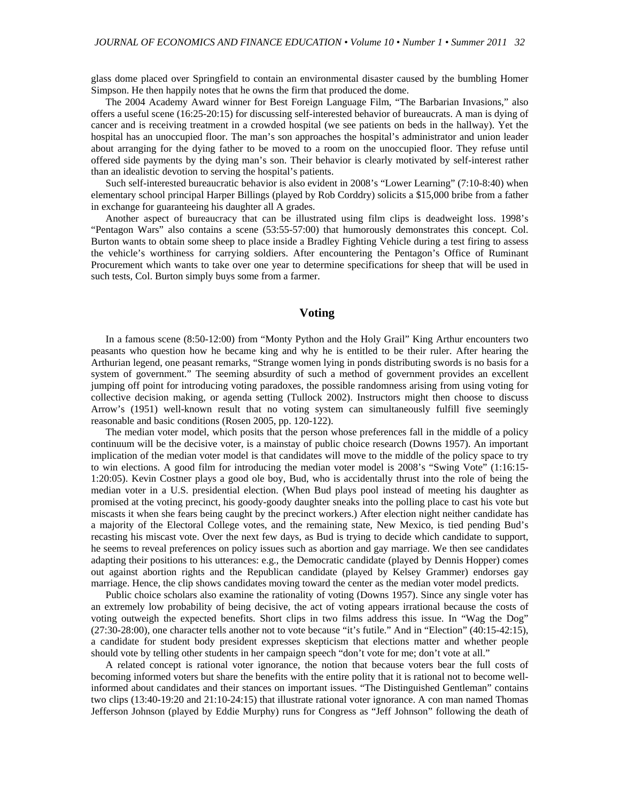glass dome placed over Springfield to contain an environmental disaster caused by the bumbling Homer Simpson. He then happily notes that he owns the firm that produced the dome.

The 2004 Academy Award winner for Best Foreign Language Film, "The Barbarian Invasions," also offers a useful scene (16:25-20:15) for discussing self-interested behavior of bureaucrats. A man is dying of cancer and is receiving treatment in a crowded hospital (we see patients on beds in the hallway). Yet the hospital has an unoccupied floor. The man's son approaches the hospital's administrator and union leader about arranging for the dying father to be moved to a room on the unoccupied floor. They refuse until offered side payments by the dying man's son. Their behavior is clearly motivated by self-interest rather than an idealistic devotion to serving the hospital's patients.

Such self-interested bureaucratic behavior is also evident in 2008's "Lower Learning" (7:10-8:40) when elementary school principal Harper Billings (played by Rob Corddry) solicits a \$15,000 bribe from a father in exchange for guaranteeing his daughter all A grades.

Another aspect of bureaucracy that can be illustrated using film clips is deadweight loss. 1998's "Pentagon Wars" also contains a scene (53:55-57:00) that humorously demonstrates this concept. Col. Burton wants to obtain some sheep to place inside a Bradley Fighting Vehicle during a test firing to assess the vehicle's worthiness for carrying soldiers. After encountering the Pentagon's Office of Ruminant Procurement which wants to take over one year to determine specifications for sheep that will be used in such tests, Col. Burton simply buys some from a farmer.

## **Voting**

In a famous scene (8:50-12:00) from "Monty Python and the Holy Grail" King Arthur encounters two peasants who question how he became king and why he is entitled to be their ruler. After hearing the Arthurian legend, one peasant remarks, "Strange women lying in ponds distributing swords is no basis for a system of government." The seeming absurdity of such a method of government provides an excellent jumping off point for introducing voting paradoxes, the possible randomness arising from using voting for collective decision making, or agenda setting (Tullock 2002). Instructors might then choose to discuss Arrow's (1951) well-known result that no voting system can simultaneously fulfill five seemingly reasonable and basic conditions (Rosen 2005, pp. 120-122).

The median voter model, which posits that the person whose preferences fall in the middle of a policy continuum will be the decisive voter, is a mainstay of public choice research (Downs 1957). An important implication of the median voter model is that candidates will move to the middle of the policy space to try to win elections. A good film for introducing the median voter model is 2008's "Swing Vote" (1:16:15- 1:20:05). Kevin Costner plays a good ole boy, Bud, who is accidentally thrust into the role of being the median voter in a U.S. presidential election. (When Bud plays pool instead of meeting his daughter as promised at the voting precinct, his goody-goody daughter sneaks into the polling place to cast his vote but miscasts it when she fears being caught by the precinct workers.) After election night neither candidate has a majority of the Electoral College votes, and the remaining state, New Mexico, is tied pending Bud's recasting his miscast vote. Over the next few days, as Bud is trying to decide which candidate to support, he seems to reveal preferences on policy issues such as abortion and gay marriage. We then see candidates adapting their positions to his utterances: e.g., the Democratic candidate (played by Dennis Hopper) comes out against abortion rights and the Republican candidate (played by Kelsey Grammer) endorses gay marriage. Hence, the clip shows candidates moving toward the center as the median voter model predicts.

Public choice scholars also examine the rationality of voting (Downs 1957). Since any single voter has an extremely low probability of being decisive, the act of voting appears irrational because the costs of voting outweigh the expected benefits. Short clips in two films address this issue. In "Wag the Dog" (27:30-28:00), one character tells another not to vote because "it's futile." And in "Election" (40:15-42:15), a candidate for student body president expresses skepticism that elections matter and whether people should vote by telling other students in her campaign speech "don't vote for me; don't vote at all."

A related concept is rational voter ignorance, the notion that because voters bear the full costs of becoming informed voters but share the benefits with the entire polity that it is rational not to become wellinformed about candidates and their stances on important issues. "The Distinguished Gentleman" contains two clips (13:40-19:20 and 21:10-24:15) that illustrate rational voter ignorance. A con man named Thomas Jefferson Johnson (played by Eddie Murphy) runs for Congress as "Jeff Johnson" following the death of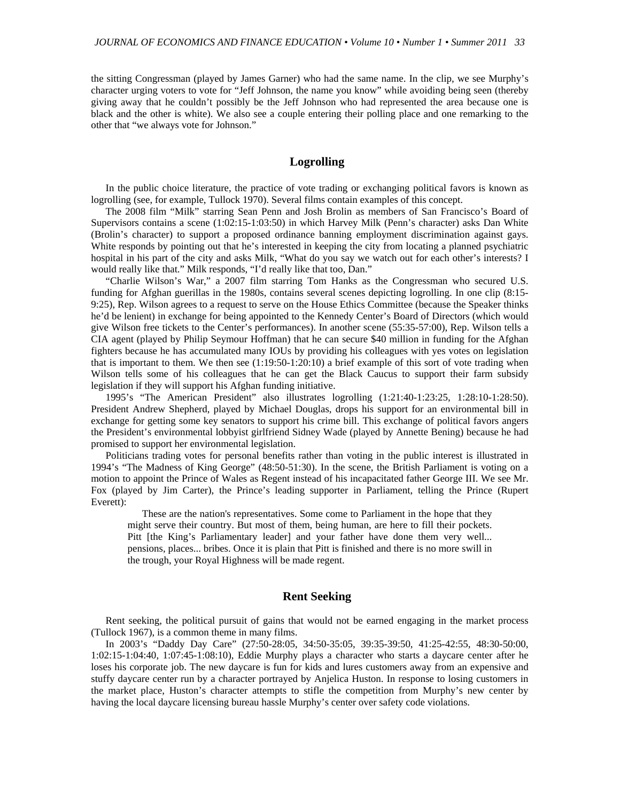the sitting Congressman (played by James Garner) who had the same name. In the clip, we see Murphy's character urging voters to vote for "Jeff Johnson, the name you know" while avoiding being seen (thereby giving away that he couldn't possibly be the Jeff Johnson who had represented the area because one is black and the other is white). We also see a couple entering their polling place and one remarking to the other that "we always vote for Johnson."

# **Logrolling**

In the public choice literature, the practice of vote trading or exchanging political favors is known as logrolling (see, for example, Tullock 1970). Several films contain examples of this concept.

The 2008 film "Milk" starring Sean Penn and Josh Brolin as members of San Francisco's Board of Supervisors contains a scene (1:02:15-1:03:50) in which Harvey Milk (Penn's character) asks Dan White (Brolin's character) to support a proposed ordinance banning employment discrimination against gays. White responds by pointing out that he's interested in keeping the city from locating a planned psychiatric hospital in his part of the city and asks Milk, "What do you say we watch out for each other's interests? I would really like that." Milk responds, "I'd really like that too, Dan."

"Charlie Wilson's War," a 2007 film starring Tom Hanks as the Congressman who secured U.S. funding for Afghan guerillas in the 1980s, contains several scenes depicting logrolling. In one clip (8:15- 9:25), Rep. Wilson agrees to a request to serve on the House Ethics Committee (because the Speaker thinks he'd be lenient) in exchange for being appointed to the Kennedy Center's Board of Directors (which would give Wilson free tickets to the Center's performances). In another scene (55:35-57:00), Rep. Wilson tells a CIA agent (played by Philip Seymour Hoffman) that he can secure \$40 million in funding for the Afghan fighters because he has accumulated many IOUs by providing his colleagues with yes votes on legislation that is important to them. We then see (1:19:50-1:20:10) a brief example of this sort of vote trading when Wilson tells some of his colleagues that he can get the Black Caucus to support their farm subsidy legislation if they will support his Afghan funding initiative.

1995's "The American President" also illustrates logrolling (1:21:40-1:23:25, 1:28:10-1:28:50). President Andrew Shepherd, played by Michael Douglas, drops his support for an environmental bill in exchange for getting some key senators to support his crime bill. This exchange of political favors angers the President's environmental lobbyist girlfriend Sidney Wade (played by Annette Bening) because he had promised to support her environmental legislation.

Politicians trading votes for personal benefits rather than voting in the public interest is illustrated in 1994's "The Madness of King George" (48:50-51:30). In the scene, the British Parliament is voting on a motion to appoint the Prince of Wales as Regent instead of his incapacitated father George III. We see Mr. Fox (played by Jim Carter), the Prince's leading supporter in Parliament, telling the Prince (Rupert Everett):

These are the nation's representatives. Some come to Parliament in the hope that they might serve their country. But most of them, being human, are here to fill their pockets. Pitt [the King's Parliamentary leader] and your father have done them very well... pensions, places... bribes. Once it is plain that Pitt is finished and there is no more swill in the trough, your Royal Highness will be made regent.

### **Rent Seeking**

Rent seeking, the political pursuit of gains that would not be earned engaging in the market process (Tullock 1967), is a common theme in many films.

In 2003's "Daddy Day Care" (27:50-28:05, 34:50-35:05, 39:35-39:50, 41:25-42:55, 48:30-50:00, 1:02:15-1:04:40, 1:07:45-1:08:10), Eddie Murphy plays a character who starts a daycare center after he loses his corporate job. The new daycare is fun for kids and lures customers away from an expensive and stuffy daycare center run by a character portrayed by Anjelica Huston. In response to losing customers in the market place, Huston's character attempts to stifle the competition from Murphy's new center by having the local daycare licensing bureau hassle Murphy's center over safety code violations.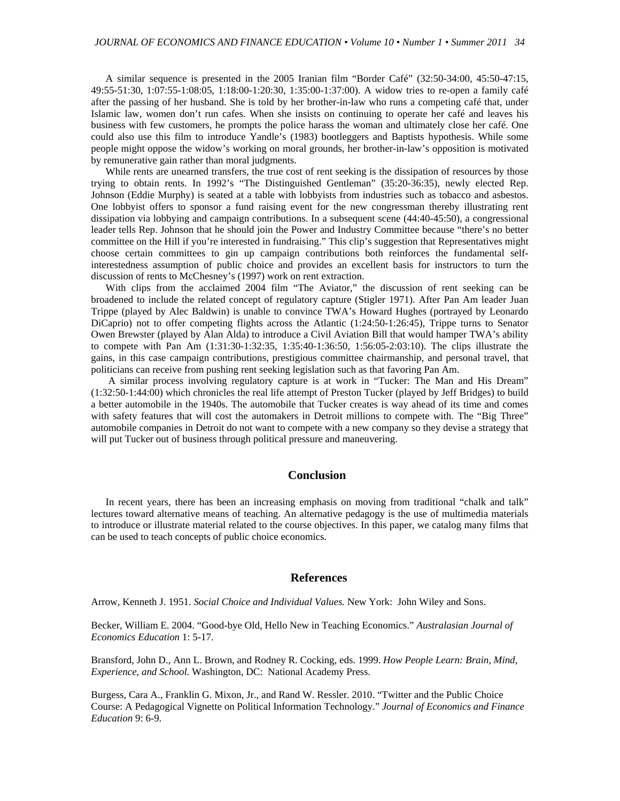A similar sequence is presented in the 2005 Iranian film "Border Café" (32:50-34:00, 45:50-47:15, 49:55-51:30, 1:07:55-1:08:05, 1:18:00-1:20:30, 1:35:00-1:37:00). A widow tries to re-open a family café after the passing of her husband. She is told by her brother-in-law who runs a competing café that, under Islamic law, women don't run cafes. When she insists on continuing to operate her café and leaves his business with few customers, he prompts the police harass the woman and ultimately close her café. One could also use this film to introduce Yandle's (1983) bootleggers and Baptists hypothesis. While some people might oppose the widow's working on moral grounds, her brother-in-law's opposition is motivated by remunerative gain rather than moral judgments.

While rents are unearned transfers, the true cost of rent seeking is the dissipation of resources by those trying to obtain rents. In 1992's "The Distinguished Gentleman" (35:20-36:35), newly elected Rep. Johnson (Eddie Murphy) is seated at a table with lobbyists from industries such as tobacco and asbestos. One lobbyist offers to sponsor a fund raising event for the new congressman thereby illustrating rent dissipation via lobbying and campaign contributions. In a subsequent scene (44:40-45:50), a congressional leader tells Rep. Johnson that he should join the Power and Industry Committee because "there's no better committee on the Hill if you're interested in fundraising." This clip's suggestion that Representatives might choose certain committees to gin up campaign contributions both reinforces the fundamental selfinterestedness assumption of public choice and provides an excellent basis for instructors to turn the discussion of rents to McChesney's (1997) work on rent extraction.

With clips from the acclaimed 2004 film "The Aviator," the discussion of rent seeking can be broadened to include the related concept of regulatory capture (Stigler 1971). After Pan Am leader Juan Trippe (played by Alec Baldwin) is unable to convince TWA's Howard Hughes (portrayed by Leonardo DiCaprio) not to offer competing flights across the Atlantic (1:24:50-1:26:45), Trippe turns to Senator Owen Brewster (played by Alan Alda) to introduce a Civil Aviation Bill that would hamper TWA's ability to compete with Pan Am (1:31:30-1:32:35, 1:35:40-1:36:50, 1:56:05-2:03:10). The clips illustrate the gains, in this case campaign contributions, prestigious committee chairmanship, and personal travel, that politicians can receive from pushing rent seeking legislation such as that favoring Pan Am.

 A similar process involving regulatory capture is at work in "Tucker: The Man and His Dream" (1:32:50-1:44:00) which chronicles the real life attempt of Preston Tucker (played by Jeff Bridges) to build a better automobile in the 1940s. The automobile that Tucker creates is way ahead of its time and comes with safety features that will cost the automakers in Detroit millions to compete with. The "Big Three" automobile companies in Detroit do not want to compete with a new company so they devise a strategy that will put Tucker out of business through political pressure and maneuvering.

## **Conclusion**

In recent years, there has been an increasing emphasis on moving from traditional "chalk and talk" lectures toward alternative means of teaching. An alternative pedagogy is the use of multimedia materials to introduce or illustrate material related to the course objectives. In this paper, we catalog many films that can be used to teach concepts of public choice economics.

## **References**

Arrow, Kenneth J. 1951. *Social Choice and Individual Values.* New York: John Wiley and Sons.

Becker, William E. 2004. "Good-bye Old, Hello New in Teaching Economics." *Australasian Journal of Economics Education* 1: 5-17.

Bransford, John D., Ann L. Brown, and Rodney R. Cocking, eds. 1999. *How People Learn: Brain, Mind, Experience, and School.* Washington, DC: National Academy Press.

Burgess, Cara A., Franklin G. Mixon, Jr., and Rand W. Ressler. 2010. "Twitter and the Public Choice Course: A Pedagogical Vignette on Political Information Technology." *Journal of Economics and Finance Education* 9: 6-9.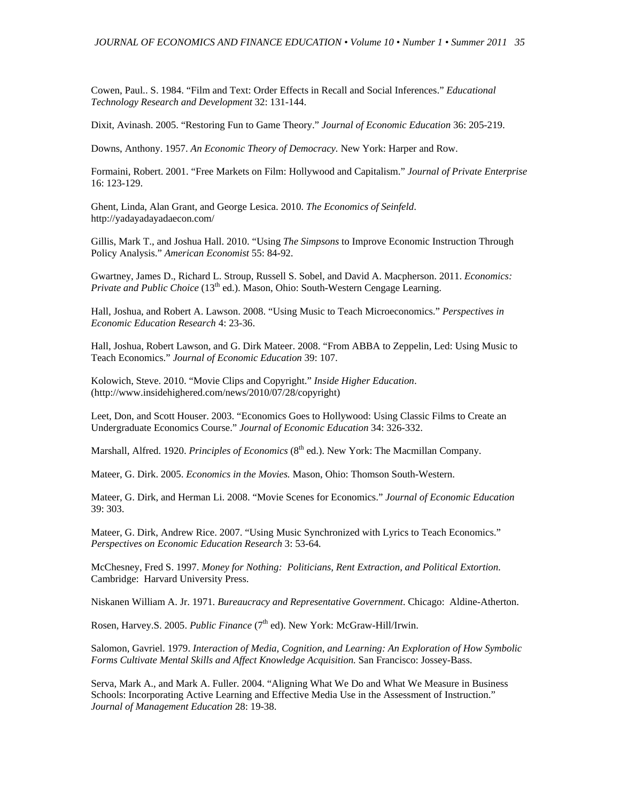Cowen, Paul.. S. 1984. "Film and Text: Order Effects in Recall and Social Inferences." *Educational Technology Research and Development* 32: 131-144.

Dixit, Avinash. 2005. "Restoring Fun to Game Theory." *Journal of Economic Education* 36: 205-219.

Downs, Anthony. 1957. *An Economic Theory of Democracy.* New York: Harper and Row.

Formaini, Robert. 2001. "Free Markets on Film: Hollywood and Capitalism." *Journal of Private Enterprise* 16: 123-129.

Ghent, Linda, Alan Grant, and George Lesica. 2010. *The Economics of Seinfeld*. http://yadayadayadaecon.com/

Gillis, Mark T., and Joshua Hall. 2010. "Using *The Simpsons* to Improve Economic Instruction Through Policy Analysis." *American Economist* 55: 84-92.

Gwartney, James D., Richard L. Stroup, Russell S. Sobel, and David A. Macpherson. 2011. *Economics: Private and Public Choice* (13<sup>th</sup> ed.). Mason, Ohio: South-Western Cengage Learning.

Hall, Joshua, and Robert A. Lawson. 2008. "Using Music to Teach Microeconomics." *Perspectives in Economic Education Research* 4: 23-36.

Hall, Joshua, Robert Lawson, and G. Dirk Mateer. 2008. "From ABBA to Zeppelin, Led: Using Music to Teach Economics." *Journal of Economic Education* 39: 107.

Kolowich, Steve. 2010. "Movie Clips and Copyright." *Inside Higher Education*. (http://www.insidehighered.com/news/2010/07/28/copyright)

Leet, Don, and Scott Houser. 2003. "Economics Goes to Hollywood: Using Classic Films to Create an Undergraduate Economics Course." *Journal of Economic Education* 34: 326-332.

Marshall, Alfred. 1920. *Principles of Economics* (8<sup>th</sup> ed.). New York: The Macmillan Company.

Mateer, G. Dirk. 2005. *Economics in the Movies.* Mason, Ohio: Thomson South-Western.

Mateer, G. Dirk, and Herman Li. 2008. "Movie Scenes for Economics." *Journal of Economic Education* 39: 303.

Mateer, G. Dirk, Andrew Rice. 2007. "Using Music Synchronized with Lyrics to Teach Economics." *Perspectives on Economic Education Research* 3: 53-64*.*

McChesney, Fred S. 1997. *Money for Nothing: Politicians, Rent Extraction, and Political Extortion*. Cambridge: Harvard University Press.

Niskanen William A. Jr. 1971. *Bureaucracy and Representative Government*. Chicago: Aldine-Atherton.

Rosen, Harvey.S. 2005. *Public Finance* (7<sup>th</sup> ed). New York: McGraw-Hill/Irwin.

Salomon, Gavriel. 1979. *Interaction of Media, Cognition, and Learning: An Exploration of How Symbolic Forms Cultivate Mental Skills and Affect Knowledge Acquisition.* San Francisco: Jossey-Bass.

Serva, Mark A., and Mark A. Fuller. 2004. "Aligning What We Do and What We Measure in Business Schools: Incorporating Active Learning and Effective Media Use in the Assessment of Instruction." *Journal of Management Education* 28: 19-38.